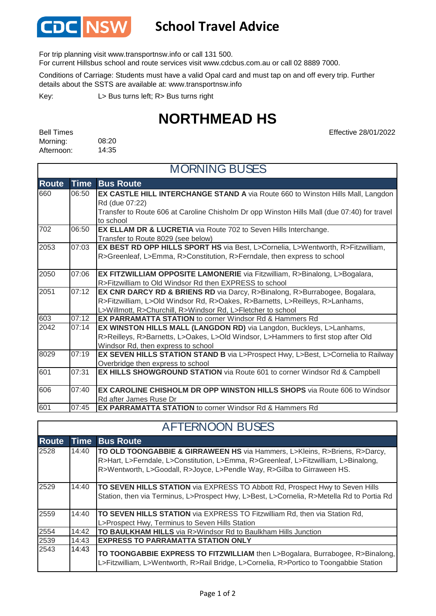

## **School Travel Advice**

For trip planning visit www.transportnsw.info or call 131 500.

For current Hillsbus school and route services visit www.cdcbus.com.au or call 02 8889 7000.

Conditions of Carriage: Students must have a valid Opal card and must tap on and off every trip. Further details about the SSTS are available at: www.transportnsw.info

L> Bus turns left; R> Bus turns right Key:

## **NORTHMEAD HS**

Effective 28/01/2022

| <b>Bell Times</b> |       |
|-------------------|-------|
| Morning:          | 08:20 |
| Afternoon:        | 14:35 |

 $\mathsf{r}$ 

| <b>MORNING BUSES</b> |             |                                                                                             |  |
|----------------------|-------------|---------------------------------------------------------------------------------------------|--|
| <b>Route</b>         | <b>Time</b> | <b>Bus Route</b>                                                                            |  |
| 660                  | 06:50       | EX CASTLE HILL INTERCHANGE STAND A via Route 660 to Winston Hills Mall, Langdon             |  |
|                      |             | Rd (due 07:22)                                                                              |  |
|                      |             | Transfer to Route 606 at Caroline Chisholm Dr opp Winston Hills Mall (due 07:40) for travel |  |
|                      |             | to school                                                                                   |  |
| 702                  | 06:50       | EX ELLAM DR & LUCRETIA via Route 702 to Seven Hills Interchange.                            |  |
|                      |             | Transfer to Route 8029 (see below)                                                          |  |
| 2053                 | 07:03       | EX BEST RD OPP HILLS SPORT HS via Best, L>Cornelia, L>Wentworth, R>Fitzwilliam,             |  |
|                      |             | R>Greenleaf, L>Emma, R>Constitution, R>Ferndale, then express to school                     |  |
| 2050                 | 07:06       | EX FITZWILLIAM OPPOSITE LAMONERIE via Fitzwilliam, R>Binalong, L>Bogalara,                  |  |
|                      |             | R>Fitzwilliam to Old Windsor Rd then EXPRESS to school                                      |  |
| 2051                 | 07:12       | EX CNR DARCY RD & BRIENS RD via Darcy, R>Binalong, R>Burrabogee, Bogalara,                  |  |
|                      |             | R>Fitzwilliam, L>Old Windsor Rd, R>Oakes, R>Barnetts, L>Reilleys, R>Lanhams,                |  |
|                      |             | L>Willmott, R>Churchill, R>Windsor Rd, L>Fletcher to school                                 |  |
| 603                  | 07:12       | <b>EX PARRAMATTA STATION</b> to corner Windsor Rd & Hammers Rd                              |  |
| 2042                 | 07:14       | EX WINSTON HILLS MALL (LANGDON RD) via Langdon, Buckleys, L>Lanhams,                        |  |
|                      |             | R>Reilleys, R>Barnetts, L>Oakes, L>Old Windsor, L>Hammers to first stop after Old           |  |
|                      |             | Windsor Rd, then express to school                                                          |  |
| 8029                 | 07:19       | EX SEVEN HILLS STATION STAND B via L>Prospect Hwy, L>Best, L>Cornelia to Railway            |  |
|                      |             | Overbridge then express to school                                                           |  |
| 601                  | 07:31       | EX HILLS SHOWGROUND STATION via Route 601 to corner Windsor Rd & Campbell                   |  |
| 606                  | 07:40       | EX CAROLINE CHISHOLM DR OPP WINSTON HILLS SHOPS via Route 606 to Windsor                    |  |
|                      |             | Rd after James Ruse Dr                                                                      |  |
| 601                  | 07:45       | <b>EX PARRAMATTA STATION</b> to corner Windsor Rd & Hammers Rd                              |  |

| <b>AFTERNOON BUSES</b> |       |                                                                                                                                                                                                                                                         |  |
|------------------------|-------|---------------------------------------------------------------------------------------------------------------------------------------------------------------------------------------------------------------------------------------------------------|--|
| <b>Route</b>           | Time  | <b>Bus Route</b>                                                                                                                                                                                                                                        |  |
| 2528                   | 14:40 | <b>TO OLD TOONGABBIE &amp; GIRRAWEEN HS</b> via Hammers, L>Kleins, R>Briens, R>Darcy,<br>R>Hart, L>Ferndale, L>Constitution, L>Emma, R>Greenleaf, L>Fitzwilliam, L>Binalong,<br>R>Wentworth, L>Goodall, R>Joyce, L>Pendle Way, R>Gilba to Girraween HS. |  |
| 2529                   | 14:40 | <b>TO SEVEN HILLS STATION</b> via EXPRESS TO Abbott Rd, Prospect Hwy to Seven Hills<br>Station, then via Terminus, L>Prospect Hwy, L>Best, L>Cornelia, R>Metella Rd to Portia Rd                                                                        |  |
| 2559                   | 14:40 | TO SEVEN HILLS STATION via EXPRESS TO Fitzwilliam Rd, then via Station Rd,<br>L>Prospect Hwy, Terminus to Seven Hills Station                                                                                                                           |  |
| 2554                   | 14:42 | <b>TO BAULKHAM HILLS</b> via R>Windsor Rd to Baulkham Hills Junction                                                                                                                                                                                    |  |
| 2539                   | 14:43 | <b>EXPRESS TO PARRAMATTA STATION ONLY</b>                                                                                                                                                                                                               |  |
| 2543                   | 14:43 | TO TOONGABBIE EXPRESS TO FITZWILLIAM then L>Bogalara, Burrabogee, R>Binalong,<br>L>Fitzwilliam, L>Wentworth, R>Rail Bridge, L>Cornelia, R>Portico to Toongabbie Station                                                                                 |  |